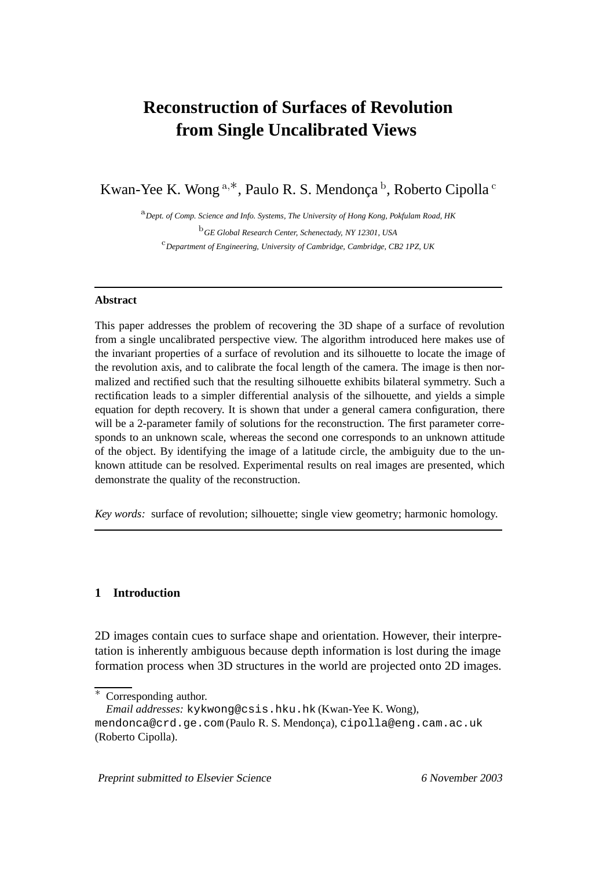# **Reconstruction of Surfaces of Revolution from Single Uncalibrated Views**

Kwan-Yee K. Wong  $a, *$ , Paulo R. S. Mendonca<sup>b</sup>, Roberto Cipolla<sup>c</sup>

<sup>a</sup>*Dept. of Comp. Science and Info. Systems, The University of Hong Kong, Pokfulam Road, HK* <sup>b</sup>*GE Global Research Center, Schenectady, NY 12301, USA* <sup>c</sup>*Department of Engineering, University of Cambridge, Cambridge, CB2 1PZ, UK*

## **Abstract**

This paper addresses the problem of recovering the 3D shape of a surface of revolution from a single uncalibrated perspective view. The algorithm introduced here makes use of the invariant properties of a surface of revolution and its silhouette to locate the image of the revolution axis, and to calibrate the focal length of the camera. The image is then normalized and rectified such that the resulting silhouette exhibits bilateral symmetry. Such a rectification leads to a simpler differential analysis of the silhouette, and yields a simple equation for depth recovery. It is shown that under a general camera configuration, there will be a 2-parameter family of solutions for the reconstruction. The first parameter corresponds to an unknown scale, whereas the second one corresponds to an unknown attitude of the object. By identifying the image of a latitude circle, the ambiguity due to the unknown attitude can be resolved. Experimental results on real images are presented, which demonstrate the quality of the reconstruction.

*Key words:* surface of revolution; silhouette; single view geometry; harmonic homology.

# **1 Introduction**

2D images contain cues to surface shape and orientation. However, their interpretation is inherently ambiguous because depth information is lost during the image formation process when 3D structures in the world are projected onto 2D images.

Preprint submitted to Elsevier Science 6 November 2003

Corresponding author.

*Email addresses:* kykwong@csis.hku.hk (Kwan-Yee K. Wong),

mendonca@crd.ge.com (Paulo R. S. Mendonça), cipolla@eng.cam.ac.uk (Roberto Cipolla).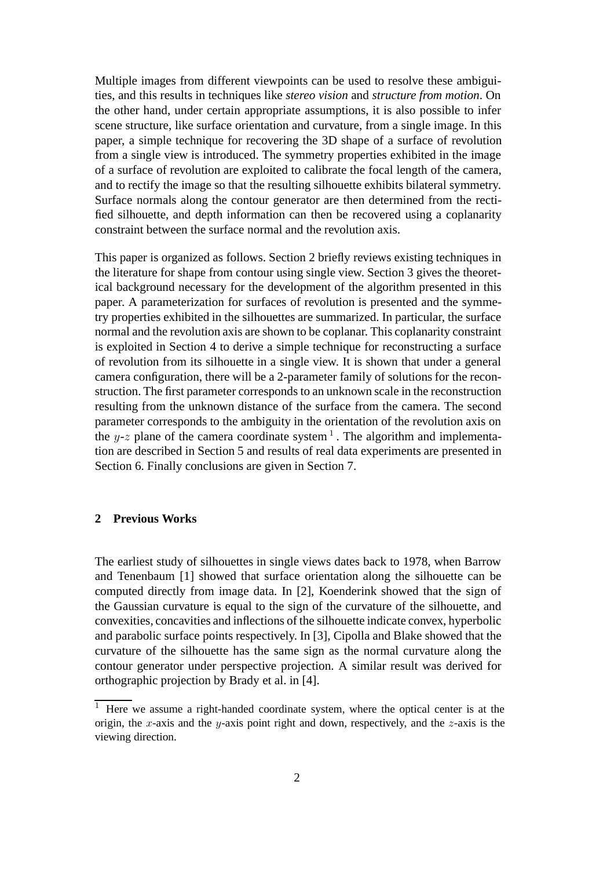Multiple images from different viewpoints can be used to resolve these ambiguities, and this results in techniques like *stereo vision* and *structure from motion*. On the other hand, under certain appropriate assumptions, it is also possible to infer scene structure, like surface orientation and curvature, from a single image. In this paper, a simple technique for recovering the 3D shape of a surface of revolution from a single view is introduced. The symmetry properties exhibited in the image of a surface of revolution are exploited to calibrate the focal length of the camera, and to rectify the image so that the resulting silhouette exhibits bilateral symmetry. Surface normals along the contour generator are then determined from the rectified silhouette, and depth information can then be recovered using a coplanarity constraint between the surface normal and the revolution axis.

This paper is organized as follows. Section 2 briefly reviews existing techniques in the literature for shape from contour using single view. Section 3 gives the theoretical background necessary for the development of the algorithm presented in this paper. A parameterization for surfaces of revolution is presented and the symmetry properties exhibited in the silhouettes are summarized. In particular, the surface normal and the revolution axis are shown to be coplanar. This coplanarity constraint is exploited in Section 4 to derive a simple technique for reconstructing a surface of revolution from its silhouette in a single view. It is shown that under a general camera configuration, there will be a 2-parameter family of solutions for the reconstruction. The first parameter corresponds to an unknown scale in the reconstruction resulting from the unknown distance of the surface from the camera. The second parameter corresponds to the ambiguity in the orientation of the revolution axis on the y-z plane of the camera coordinate system  $<sup>1</sup>$ . The algorithm and implementa-</sup> tion are described in Section 5 and results of real data experiments are presented in Section 6. Finally conclusions are given in Section 7.

## **2 Previous Works**

The earliest study of silhouettes in single views dates back to 1978, when Barrow and Tenenbaum [1] showed that surface orientation along the silhouette can be computed directly from image data. In [2], Koenderink showed that the sign of the Gaussian curvature is equal to the sign of the curvature of the silhouette, and convexities, concavities and inflections of the silhouette indicate convex, hyperbolic and parabolic surface points respectively. In [3], Cipolla and Blake showed that the curvature of the silhouette has the same sign as the normal curvature along the contour generator under perspective projection. A similar result was derived for orthographic projection by Brady et al. in [4].

<sup>1</sup> Here we assume a right-handed coordinate system, where the optical center is at the origin, the x-axis and the y-axis point right and down, respectively, and the  $z$ -axis is the viewing direction.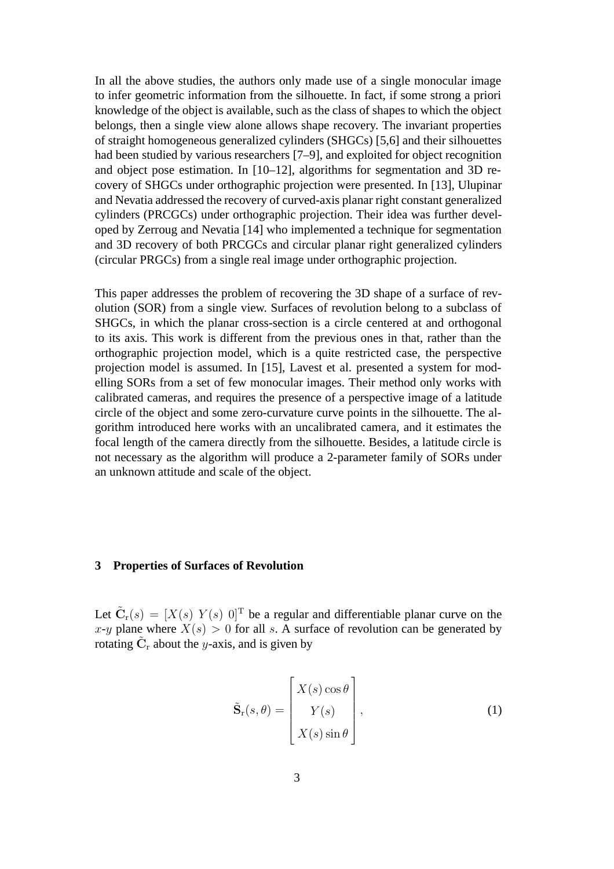In all the above studies, the authors only made use of a single monocular image to infer geometric information from the silhouette. In fact, if some strong a priori knowledge of the object is available, such as the class of shapes to which the object belongs, then a single view alone allows shape recovery. The invariant properties of straight homogeneous generalized cylinders (SHGCs) [5,6] and their silhouettes had been studied by various researchers [7–9], and exploited for object recognition and object pose estimation. In [10–12], algorithms for segmentation and 3D recovery of SHGCs under orthographic projection were presented. In [13], Ulupinar and Nevatia addressed the recovery of curved-axis planar right constant generalized cylinders (PRCGCs) under orthographic projection. Their idea was further developed by Zerroug and Nevatia [14] who implemented a technique for segmentation and 3D recovery of both PRCGCs and circular planar right generalized cylinders (circular PRGCs) from a single real image under orthographic projection.

This paper addresses the problem of recovering the 3D shape of a surface of revolution (SOR) from a single view. Surfaces of revolution belong to a subclass of SHGCs, in which the planar cross-section is a circle centered at and orthogonal to its axis. This work is different from the previous ones in that, rather than the orthographic projection model, which is a quite restricted case, the perspective projection model is assumed. In [15], Lavest et al. presented a system for modelling SORs from a set of few monocular images. Their method only works with calibrated cameras, and requires the presence of a perspective image of a latitude circle of the object and some zero-curvature curve points in the silhouette. The algorithm introduced here works with an uncalibrated camera, and it estimates the focal length of the camera directly from the silhouette. Besides, a latitude circle is not necessary as the algorithm will produce a 2-parameter family of SORs under an unknown attitude and scale of the object.

## **3 Properties of Surfaces of Revolution**

Let  $\tilde{\mathbf{C}}_r(s)=[X(s) \ Y(s) \ 0]^T$  be a regular and differentiable planar curve on the x-y plane where  $X(s) > 0$  for all s. A surface of revolution can be generated by rotating  $C_r$  about the y-axis, and is given by

$$
\tilde{\mathbf{S}}_{\mathbf{r}}(s,\theta) = \begin{bmatrix} X(s) \cos \theta \\ Y(s) \\ X(s) \sin \theta \end{bmatrix},
$$
\n(1)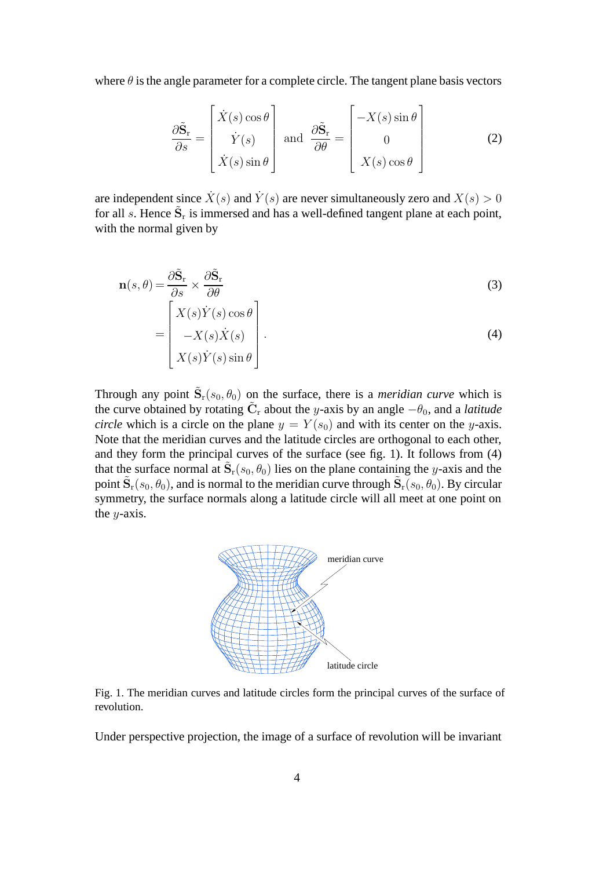where  $\theta$  is the angle parameter for a complete circle. The tangent plane basis vectors

$$
\frac{\partial \tilde{\mathbf{S}}_{\mathbf{r}}}{\partial s} = \begin{bmatrix} \dot{X}(s) \cos \theta \\ \dot{Y}(s) \\ \dot{X}(s) \sin \theta \end{bmatrix} \text{ and } \frac{\partial \tilde{\mathbf{S}}_{\mathbf{r}}}{\partial \theta} = \begin{bmatrix} -X(s) \sin \theta \\ 0 \\ X(s) \cos \theta \end{bmatrix}
$$
(2)

are independent since  $\dot{X}(s)$  and  $\dot{Y}(s)$  are never simultaneously zero and  $X(s) > 0$ for all  $s$ . Hence  $\tilde{S}_r$  is immersed and has a well-defined tangent plane at each point, with the normal given by

$$
\mathbf{n}(s,\theta) = \frac{\partial \tilde{\mathbf{S}}_{\mathbf{r}}}{\partial s} \times \frac{\partial \tilde{\mathbf{S}}_{\mathbf{r}}}{\partial \theta} \qquad (3)
$$
\n
$$
\begin{bmatrix} X(s)\dot{Y}(s)\cos\theta \end{bmatrix}
$$

$$
= \begin{bmatrix} -X(s)\dot{X}(s) \\ X(s)\dot{Y}(s)\sin\theta \end{bmatrix}.
$$
 (4)

Through any point  $\tilde{S}_r(s_0, \theta_0)$  on the surface, there is a *meridian curve* which is the curve obtained by rotating  $\tilde{C}_r$  about the y-axis by an angle  $-\theta_0$ , and a *latitude circle* which is a circle on the plane  $y = Y(s_0)$  and with its center on the y-axis. Note that the meridian curves and the latitude circles are orthogonal to each other, and they form the principal curves of the surface (see fig. 1). It follows from (4) that the surface normal at  $\tilde{S}_r(s_0, \theta_0)$  lies on the plane containing the y-axis and the point  $\tilde{\mathbf{S}}_r(s_0, \theta_0)$ , and is normal to the meridian curve through  $\tilde{\mathbf{S}}_r(s_0, \theta_0)$ . By circular symmetry, the surface normals along a latitude circle will all meet at one point on the  $y$ -axis.



Fig. 1. The meridian curves and latitude circles form the principal curves of the surface of revolution.

Under perspective projection, the image of a surface of revolution will be invariant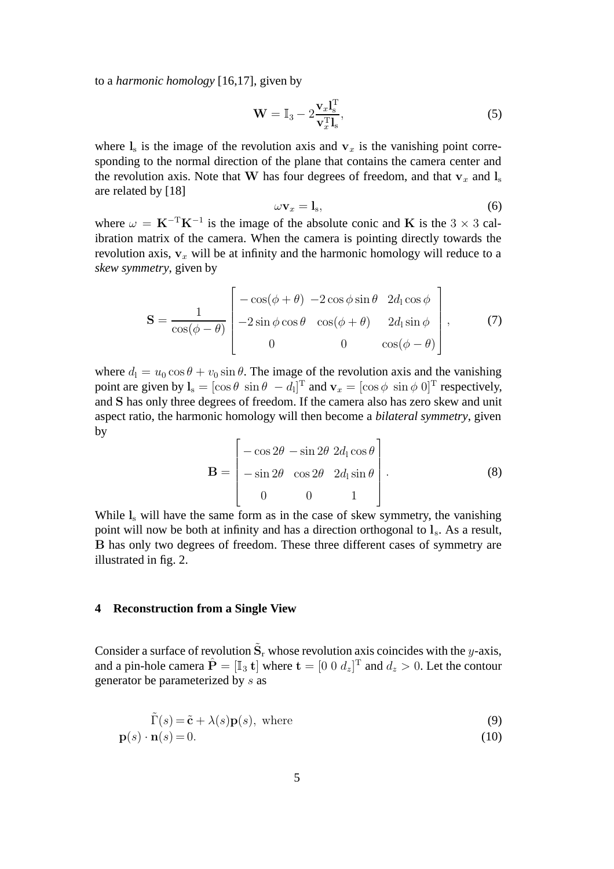to a *harmonic homology* [16,17], given by

$$
\mathbf{W} = \mathbb{I}_3 - 2\frac{\mathbf{v}_x \mathbf{l}_s^{\mathrm{T}}}{\mathbf{v}_x^{\mathrm{T}} \mathbf{l}_s},\tag{5}
$$

where  $\mathbf{l}_s$  is the image of the revolution axis and  $\mathbf{v}_x$  is the vanishing point corresponding to the normal direction of the plane that contains the camera center and the revolution axis. Note that **W** has four degrees of freedom, and that  $\mathbf{v}_x$  and  $\mathbf{l}_s$ are related by [18]

$$
\omega \mathbf{v}_x = \mathbf{l}_s, \tag{6}
$$

where  $\omega = \mathbf{K}^{-T} \mathbf{K}^{-1}$  is the image of the absolute conic and **K** is the 3 × 3 calibration matrix of the camera. When the camera is pointing directly towards the revolution axis,  $v_x$  will be at infinity and the harmonic homology will reduce to a *skew symmetry*, given by

$$
\mathbf{S} = \frac{1}{\cos(\phi - \theta)} \begin{bmatrix} -\cos(\phi + \theta) & -2\cos\phi\sin\theta & 2d_1\cos\phi \\ -2\sin\phi\cos\theta & \cos(\phi + \theta) & 2d_1\sin\phi \\ 0 & 0 & \cos(\phi - \theta) \end{bmatrix},
$$
(7)

where  $d_1 = u_0 \cos \theta + v_0 \sin \theta$ . The image of the revolution axis and the vanishing point are given by  $\mathbf{l}_s = [\cos \theta \sin \theta - d_1]^T$  and  $\mathbf{v}_x = [\cos \phi \sin \phi \ 0]^T$  respectively, and **S** has only three degrees of freedom. If the camera also has zero skew and unit aspect ratio, the harmonic homology will then become a *bilateral symmetry*, given by

$$
\mathbf{B} = \begin{bmatrix} -\cos 2\theta & -\sin 2\theta & 2d_1 \cos \theta \\ -\sin 2\theta & \cos 2\theta & 2d_1 \sin \theta \\ 0 & 0 & 1 \end{bmatrix} . \tag{8}
$$

While  $l_s$  will have the same form as in the case of skew symmetry, the vanishing point will now be both at infinity and has a direction orthogonal to  $l_s$ . As a result, **B** has only two degrees of freedom. These three different cases of symmetry are illustrated in fig. 2.

## **4 Reconstruction from a Single View**

Consider a surface of revolution  $\tilde{S}_r$  whose revolution axis coincides with the y-axis, and a pin-hole camera  $\hat{\mathbf{P}} = [\mathbb{I}_3 \mathbf{t}]$  where  $\mathbf{t} = [0 \ 0 \ d_z]^T$  and  $d_z > 0$ . Let the contour generator be parameterized by s as

$$
\tilde{\Gamma}(s) = \tilde{\mathbf{c}} + \lambda(s)\mathbf{p}(s), \text{ where}
$$
\n(9)

$$
\mathbf{p}(s) \cdot \mathbf{n}(s) = 0. \tag{10}
$$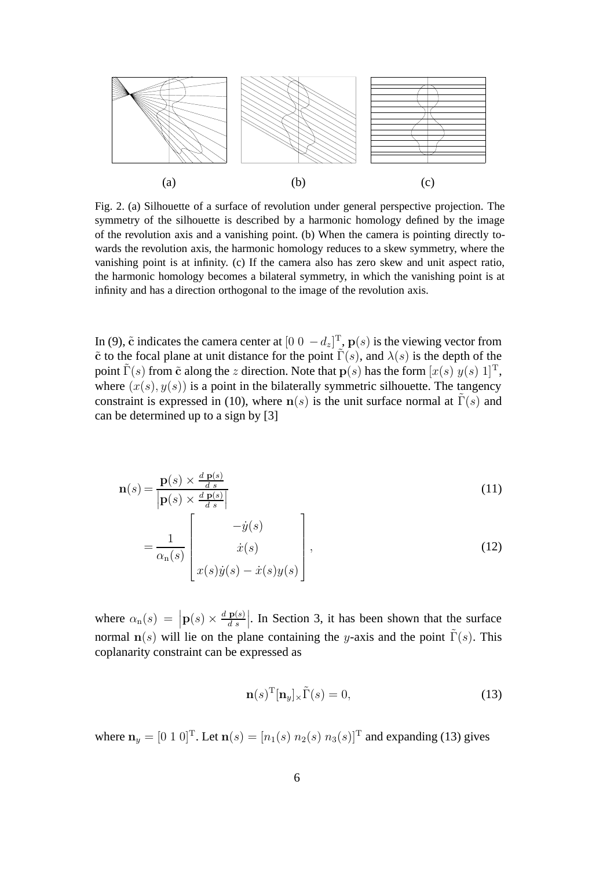

Fig. 2. (a) Silhouette of a surface of revolution under general perspective projection. The symmetry of the silhouette is described by a harmonic homology defined by the image of the revolution axis and a vanishing point. (b) When the camera is pointing directly towards the revolution axis, the harmonic homology reduces to a skew symmetry, where the vanishing point is at infinity. (c) If the camera also has zero skew and unit aspect ratio, the harmonic homology becomes a bilateral symmetry, in which the vanishing point is at infinity and has a direction orthogonal to the image of the revolution axis.

In (9),  $\tilde{c}$  indicates the camera center at  $[0 \ 0 \ -d_z]^T$ ,  $p(s)$  is the viewing vector from  $\tilde{\mathbf{c}}$  to the focal plane at unit distance for the point  $\tilde{\Gamma}(s)$ , and  $\lambda(s)$  is the depth of the point  $\Gamma(s)$  from  $\tilde{\mathbf{c}}$  along the z direction. Note that  $\mathbf{p}(s)$  has the form  $[x(s) y(s) 1]^T$ , where  $(x(s), y(s))$  is a point in the bilaterally symmetric silhouette. The tangency constraint is expressed in (10), where  $n(s)$  is the unit surface normal at  $\tilde{\Gamma}(s)$  and can be determined up to a sign by [3]

$$
\mathbf{n}(s) = \frac{\mathbf{p}(s) \times \frac{d \mathbf{p}(s)}{d s}}{\left| \mathbf{p}(s) \times \frac{d \mathbf{p}(s)}{d s} \right|} \tag{11}
$$

$$
= \frac{1}{\alpha_n(s)} \left[ \begin{array}{c} -\dot{y}(s) \\ \dot{x}(s) \\ x(s)\dot{y}(s) - \dot{x}(s)y(s) \end{array} \right],
$$
\n(12)

where  $\alpha_n(s) = |\mathbf{p}(s) \times \frac{d \mathbf{p}(s)}{ds}|$ . In Section 3, it has been shown that the surface normal  $\mathbf{n}(s)$  will lie on the plane containing the y-axis and the point  $\tilde{\Gamma}(s)$ . This coplanarity constraint can be expressed as

$$
\mathbf{n}(s)^{\mathrm{T}}[\mathbf{n}_y]_{\times}\tilde{\Gamma}(s) = 0,\tag{13}
$$

where  $n_y = [0 \ 1 \ 0]^T$ . Let  $n(s) = [n_1(s) \ n_2(s) \ n_3(s)]^T$  and expanding (13) gives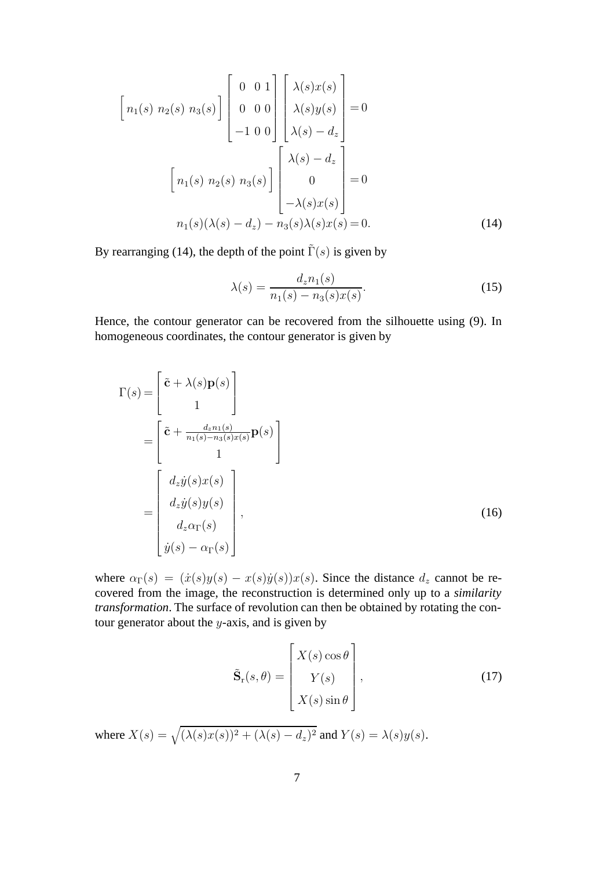$$
\begin{bmatrix}\nn_1(s) & n_2(s) & n_3(s)\n\end{bmatrix}\n\begin{bmatrix}\n0 & 0 & 1 \\
0 & 0 & 0 \\
-1 & 0 & 0\n\end{bmatrix}\n\begin{bmatrix}\n\lambda(s)x(s) \\
\lambda(s)y(s) \\
\lambda(s) - d_z\n\end{bmatrix} = 0
$$
\n
$$
\begin{bmatrix}\nn_1(s) & n_2(s) & n_3(s)\n\end{bmatrix}\n\begin{bmatrix}\n\lambda(s) - d_z \\
0 \\
-\lambda(s)x(s)\n\end{bmatrix} = 0
$$
\n
$$
n_1(s)(\lambda(s) - d_z) - n_3(s)\lambda(s)x(s) = 0.
$$
\n(14)

By rearranging (14), the depth of the point  $\tilde{\Gamma}(s)$  is given by

$$
\lambda(s) = \frac{d_z n_1(s)}{n_1(s) - n_3(s)x(s)}.\tag{15}
$$

Hence, the contour generator can be recovered from the silhouette using (9). In homogeneous coordinates, the contour generator is given by

$$
\Gamma(s) = \begin{bmatrix} \tilde{\mathbf{c}} + \lambda(s)\mathbf{p}(s) \\ 1 \end{bmatrix}
$$

$$
= \begin{bmatrix} \tilde{\mathbf{c}} + \frac{d_z n_1(s)}{n_1(s) - n_3(s)x(s)}\mathbf{p}(s) \\ 1 \end{bmatrix}
$$

$$
= \begin{bmatrix} d_z \dot{y}(s)x(s) \\ d_z \dot{y}(s)y(s) \\ d_z \alpha_{\Gamma}(s) \\ \dot{y}(s) - \alpha_{\Gamma}(s) \end{bmatrix},
$$
(16)

where  $\alpha_{\Gamma}(s) = (x(s)y(s) - x(s)y(s))x(s)$ . Since the distance  $d_z$  cannot be recovered from the image, the reconstruction is determined only up to a *similarity transformation*. The surface of revolution can then be obtained by rotating the contour generator about the  $y$ -axis, and is given by

$$
\tilde{\mathbf{S}}_{\mathbf{r}}(s,\theta) = \begin{bmatrix} X(s) \cos \theta \\ Y(s) \\ X(s) \sin \theta \end{bmatrix},
$$
\n(17)

where  $X(s) = \sqrt{(\lambda(s)x(s))^2 + (\lambda(s) - d_z)^2}$  and  $Y(s) = \lambda(s)y(s)$ .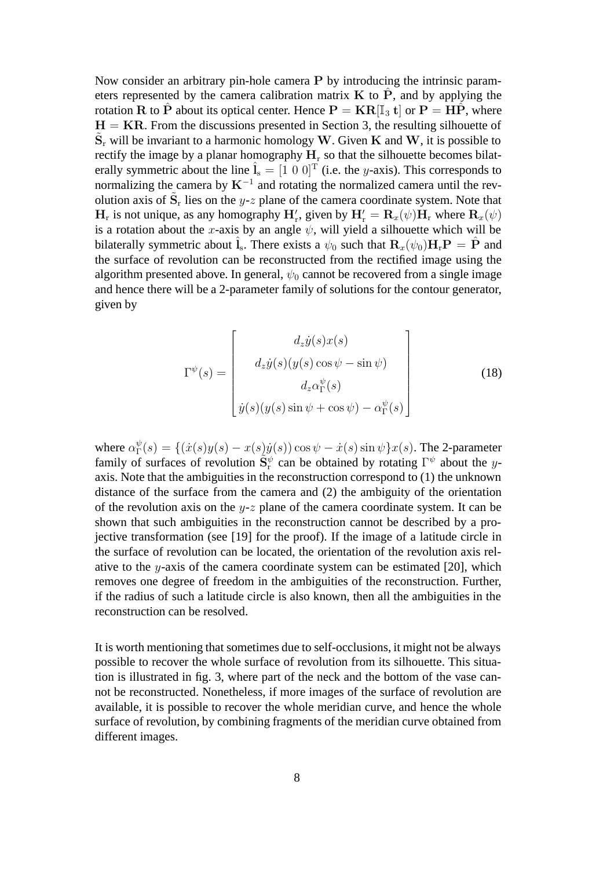Now consider an arbitrary pin-hole camera **P** by introducing the intrinsic parameters represented by the camera calibration matrix  $\bf{K}$  to  $\hat{\bf{P}}$ , and by applying the rotation **R** to **P**<sup></sup> about its optical center. Hence  $P = KR[I_3 t]$  or  $P = HP$ , where  $H = KR$ . From the discussions presented in Section 3, the resulting silhouette of  $S_r$  will be invariant to a harmonic homology **W**. Given **K** and **W**, it is possible to rectify the image by a planar homography  $H_r$  so that the silhouette becomes bilaterally symmetric about the line  $\hat{\mathbf{l}}_s = [1 \ 0 \ 0]^T$  (i.e. the y-axis). This corresponds to normalizing the camera by  $K^{-1}$  and rotating the normalized camera until the revolution axis of  $S_r$  lies on the y-z plane of the camera coordinate system. Note that  $H_r$  is not unique, as any homography  $H'_r$ , given by  $H'_r = \mathbf{R}_x(\psi) \mathbf{H}_r$  where  $\mathbf{R}_x(\psi)$ is a rotation about the x-axis by an angle  $\psi$ , will yield a silhouette which will be bilaterally symmetric about  $\hat{\mathbf{l}}_s$ . There exists a  $\psi_0$  such that  $\mathbf{R}_r(\psi_0) \mathbf{H}_r \mathbf{P} = \hat{\mathbf{P}}$  and the surface of revolution can be reconstructed from the rectified image using the algorithm presented above. In general,  $\psi_0$  cannot be recovered from a single image and hence there will be a 2-parameter family of solutions for the contour generator, given by

$$
\Gamma^{\psi}(s) = \begin{bmatrix} d_z \dot{y}(s)x(s) \\ d_z \dot{y}(s)(y(s)\cos\psi - \sin\psi) \\ d_z \alpha_{\Gamma}^{\psi}(s) \\ \dot{y}(s)(y(s)\sin\psi + \cos\psi) - \alpha_{\Gamma}^{\psi}(s) \end{bmatrix}
$$
(18)

where  $\alpha_{\Gamma}^{\psi}(s) = \{(\dot{x}(s)y(s) - x(s)\dot{y}(s))\cos\psi - \dot{x}(s)\sin\psi\}x(s)$ . The 2-parameter family of surfaces of revolution  $\tilde{S}_r^{\psi}$  can be obtained by rotating  $\Gamma^{\psi}$  about the yaxis. Note that the ambiguities in the reconstruction correspond to (1) the unknown distance of the surface from the camera and (2) the ambiguity of the orientation of the revolution axis on the y-z plane of the camera coordinate system. It can be shown that such ambiguities in the reconstruction cannot be described by a projective transformation (see [19] for the proof). If the image of a latitude circle in the surface of revolution can be located, the orientation of the revolution axis relative to the y-axis of the camera coordinate system can be estimated [20], which removes one degree of freedom in the ambiguities of the reconstruction. Further, if the radius of such a latitude circle is also known, then all the ambiguities in the reconstruction can be resolved.

It is worth mentioning that sometimes due to self-occlusions, it might not be always possible to recover the whole surface of revolution from its silhouette. This situation is illustrated in fig. 3, where part of the neck and the bottom of the vase cannot be reconstructed. Nonetheless, if more images of the surface of revolution are available, it is possible to recover the whole meridian curve, and hence the whole surface of revolution, by combining fragments of the meridian curve obtained from different images.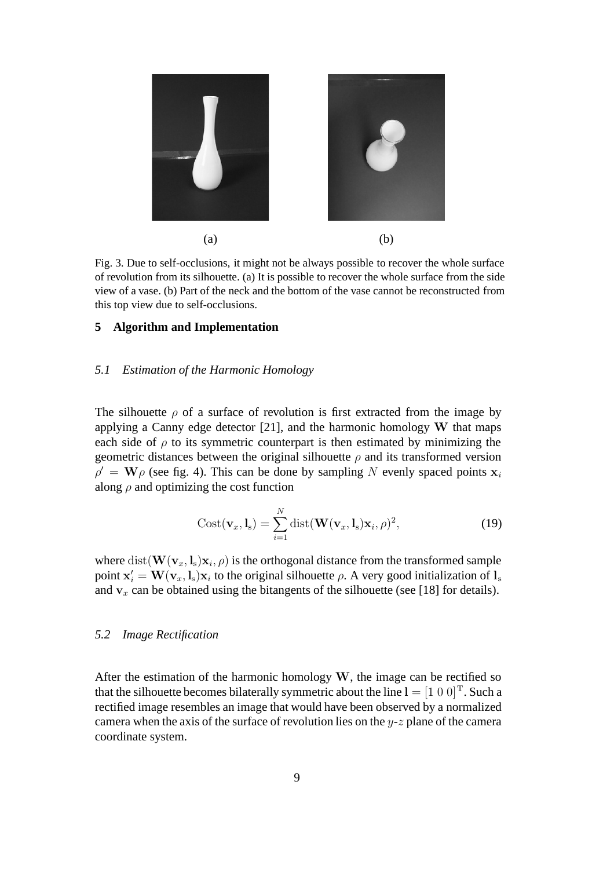

Fig. 3. Due to self-occlusions, it might not be always possible to recover the whole surface of revolution from its silhouette. (a) It is possible to recover the whole surface from the side view of a vase. (b) Part of the neck and the bottom of the vase cannot be reconstructed from this top view due to self-occlusions.

#### **5 Algorithm and Implementation**

## *5.1 Estimation of the Harmonic Homology*

The silhouette  $\rho$  of a surface of revolution is first extracted from the image by applying a Canny edge detector [21], and the harmonic homology **W** that maps each side of  $\rho$  to its symmetric counterpart is then estimated by minimizing the geometric distances between the original silhouette  $\rho$  and its transformed version  $\rho' = W\rho$  (see fig. 4). This can be done by sampling N evenly spaced points  $x_i$ along  $\rho$  and optimizing the cost function

$$
Cost(\mathbf{v}_x, \mathbf{l}_s) = \sum_{i=1}^N \text{dist}(\mathbf{W}(\mathbf{v}_x, \mathbf{l}_s) \mathbf{x}_i, \rho)^2,
$$
(19)

where  $dist(\mathbf{W}(\mathbf{v}_x, \mathbf{l}_s)\mathbf{x}_i, \rho)$  is the orthogonal distance from the transformed sample point  $\mathbf{x}'_i = \mathbf{W}(\mathbf{v}_x, \mathbf{l}_s) \mathbf{x}_i$  to the original silhouette  $\rho$ . A very good initialization of  $\mathbf{l}_s$ and  $v_x$  can be obtained using the bitangents of the silhouette (see [18] for details).

#### *5.2 Image Rectification*

After the estimation of the harmonic homology **W**, the image can be rectified so that the silhouette becomes bilaterally symmetric about the line  $I = [1 \ 0 \ 0]^T$ . Such a rectified image resembles an image that would have been observed by a normalized camera when the axis of the surface of revolution lies on the  $y-z$  plane of the camera coordinate system.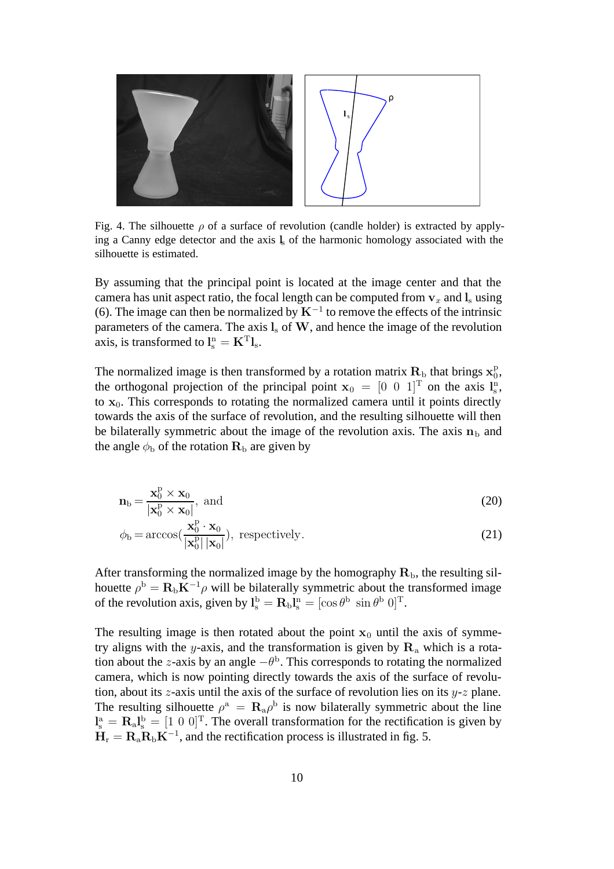

Fig. 4. The silhouette  $\rho$  of a surface of revolution (candle holder) is extracted by applying a Canny edge detector and the axis **l**<sup>s</sup> of the harmonic homology associated with the silhouette is estimated.

By assuming that the principal point is located at the image center and that the camera has unit aspect ratio, the focal length can be computed from  $v_x$  and  $l_s$  using (6). The image can then be normalized by  $K^{-1}$  to remove the effects of the intrinsic parameters of the camera. The axis **l**<sup>s</sup> of **W**, and hence the image of the revolution axis, is transformed to  $\mathbf{l}_{\mathrm{s}}^{\mathrm{n}} = \mathbf{K}^{\mathrm{T}} \mathbf{l}_{\mathrm{s}}$ .

The normalized image is then transformed by a rotation matrix  $\mathbf{R}_{\text{b}}$  that brings  $\mathbf{x}_{0}^{\text{p}}$ , the orthogonal projection of the principal point  $\mathbf{x}_0 = \begin{bmatrix} 0 & 0 & 1 \end{bmatrix}^T$  on the axis  $\mathbf{l}_s^n$ , to  $x_0$ . This corresponds to rotating the normalized camera until it points directly towards the axis of the surface of revolution, and the resulting silhouette will then be bilaterally symmetric about the image of the revolution axis. The axis  $n<sub>b</sub>$  and the angle  $\phi_b$  of the rotation  $\mathbf{R}_b$  are given by

$$
\mathbf{n}_{\mathrm{b}} = \frac{\mathbf{x}_{0}^{\mathrm{p}} \times \mathbf{x}_{0}}{|\mathbf{x}_{0}^{\mathrm{p}} \times \mathbf{x}_{0}|}, \text{ and}
$$
 (20)

$$
\phi_{\mathbf{b}} = \arccos\left(\frac{\mathbf{x}_0^{\mathbf{p}} \cdot \mathbf{x}_0}{|\mathbf{x}_0^{\mathbf{p}}| \, |\mathbf{x}_0|}\right), \text{ respectively.}
$$
\n(21)

After transforming the normalized image by the homography  $\mathbf{R}_{\rm b}$ , the resulting silhouette  $\rho^{\rm b} = {\bf R}_{\rm b} {\bf K}^{-1} \rho$  will be bilaterally symmetric about the transformed image of the revolution axis, given by  $I_s^b = R_b I_s^n = [\cos \theta^b \sin \theta^b 0]^T$ .

The resulting image is then rotated about the point  $x_0$  until the axis of symmetry aligns with the y-axis, and the transformation is given by  $\mathbf{R}_a$  which is a rotation about the z-axis by an angle  $-\theta$ <sup>b</sup>. This corresponds to rotating the normalized camera, which is now pointing directly towards the axis of the surface of revolution, about its z-axis until the axis of the surface of revolution lies on its  $y-z$  plane. The resulting silhouette  $\rho^a = \mathbf{R}_a \rho^b$  is now bilaterally symmetric about the line  $\mathbf{I}_s^a = \mathbf{R}_a \mathbf{I}_s^b = [1 \ 0 \ 0]^T$ . The overall transformation for the rectification is given by  $H_r = R_a R_b K^{-1}$ , and the rectification process is illustrated in fig. 5.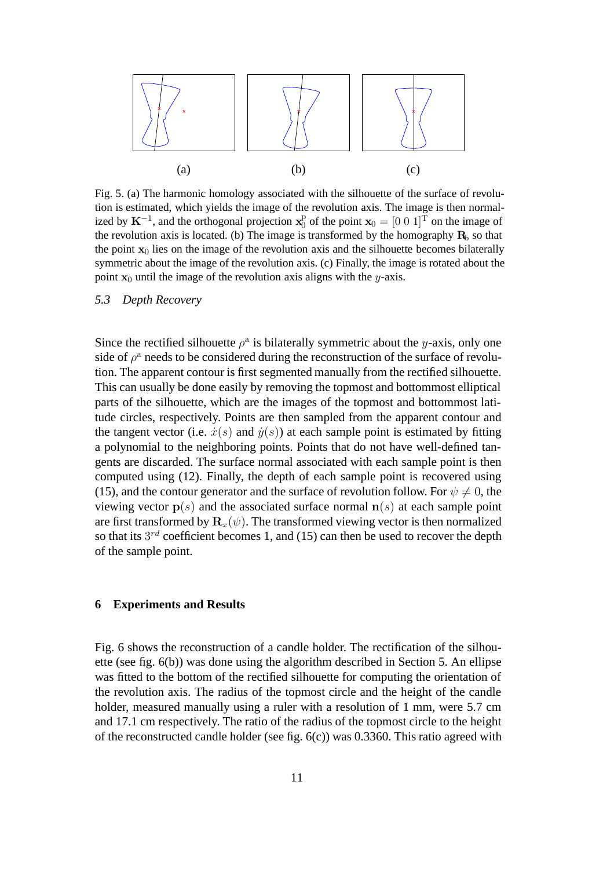

Fig. 5. (a) The harmonic homology associated with the silhouette of the surface of revolution is estimated, which yields the image of the revolution axis. The image is then normalized by  $K^{-1}$ , and the orthogonal projection  $x_0^p$  of the point  $x_0 = [0 \ 0 \ 1]^T$  on the image of the revolution axis is located. (b) The image is transformed by the homography  $\mathbf{R}_b$  so that the point  $\mathbf{x}_0$  lies on the image of the revolution axis and the silhouette becomes bilaterally symmetric about the image of the revolution axis. (c) Finally, the image is rotated about the point  $x_0$  until the image of the revolution axis aligns with the y-axis.

#### *5.3 Depth Recovery*

Since the rectified silhouette  $\rho^a$  is bilaterally symmetric about the y-axis, only one side of  $\rho^a$  needs to be considered during the reconstruction of the surface of revolution. The apparent contour is first segmented manually from the rectified silhouette. This can usually be done easily by removing the topmost and bottommost elliptical parts of the silhouette, which are the images of the topmost and bottommost latitude circles, respectively. Points are then sampled from the apparent contour and the tangent vector (i.e.  $\dot{x}(s)$  and  $\dot{y}(s)$ ) at each sample point is estimated by fitting a polynomial to the neighboring points. Points that do not have well-defined tangents are discarded. The surface normal associated with each sample point is then computed using (12). Finally, the depth of each sample point is recovered using (15), and the contour generator and the surface of revolution follow. For  $\psi \neq 0$ , the viewing vector  $p(s)$  and the associated surface normal  $n(s)$  at each sample point are first transformed by  $\mathbf{R}_x(\psi)$ . The transformed viewing vector is then normalized so that its  $3^{rd}$  coefficient becomes 1, and (15) can then be used to recover the depth of the sample point.

# **6 Experiments and Results**

Fig. 6 shows the reconstruction of a candle holder. The rectification of the silhouette (see fig. 6(b)) was done using the algorithm described in Section 5. An ellipse was fitted to the bottom of the rectified silhouette for computing the orientation of the revolution axis. The radius of the topmost circle and the height of the candle holder, measured manually using a ruler with a resolution of 1 mm, were 5.7 cm and 17.1 cm respectively. The ratio of the radius of the topmost circle to the height of the reconstructed candle holder (see fig.  $6(c)$ ) was 0.3360. This ratio agreed with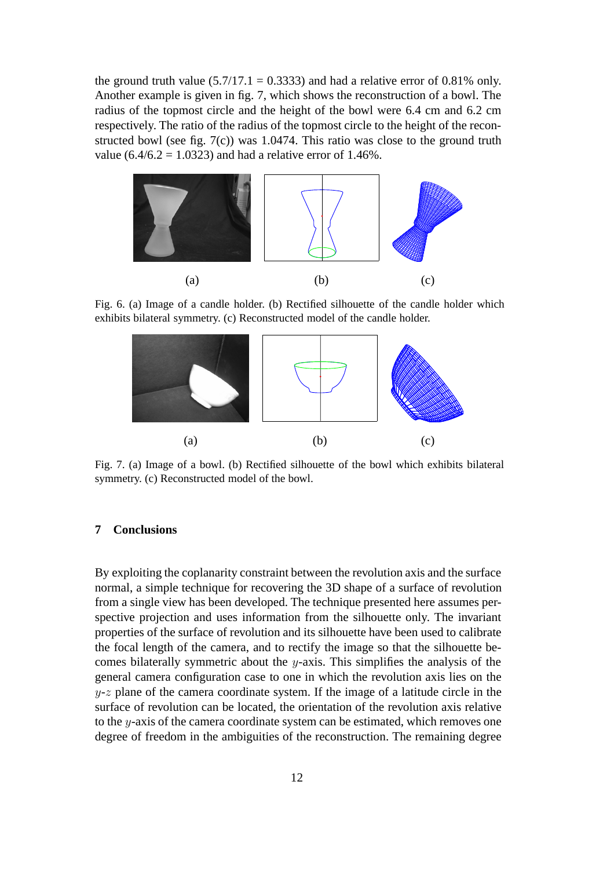the ground truth value  $(5.7/17.1 = 0.3333)$  and had a relative error of 0.81% only. Another example is given in fig. 7, which shows the reconstruction of a bowl. The radius of the topmost circle and the height of the bowl were 6.4 cm and 6.2 cm respectively. The ratio of the radius of the topmost circle to the height of the reconstructed bowl (see fig. 7(c)) was 1.0474. This ratio was close to the ground truth value  $(6.4/6.2 = 1.0323)$  and had a relative error of 1.46%.



Fig. 6. (a) Image of a candle holder. (b) Rectified silhouette of the candle holder which exhibits bilateral symmetry. (c) Reconstructed model of the candle holder.



Fig. 7. (a) Image of a bowl. (b) Rectified silhouette of the bowl which exhibits bilateral symmetry. (c) Reconstructed model of the bowl.

## **7 Conclusions**

By exploiting the coplanarity constraint between the revolution axis and the surface normal, a simple technique for recovering the 3D shape of a surface of revolution from a single view has been developed. The technique presented here assumes perspective projection and uses information from the silhouette only. The invariant properties of the surface of revolution and its silhouette have been used to calibrate the focal length of the camera, and to rectify the image so that the silhouette becomes bilaterally symmetric about the  $y$ -axis. This simplifies the analysis of the general camera configuration case to one in which the revolution axis lies on the  $y-z$  plane of the camera coordinate system. If the image of a latitude circle in the surface of revolution can be located, the orientation of the revolution axis relative to the y-axis of the camera coordinate system can be estimated, which removes one degree of freedom in the ambiguities of the reconstruction. The remaining degree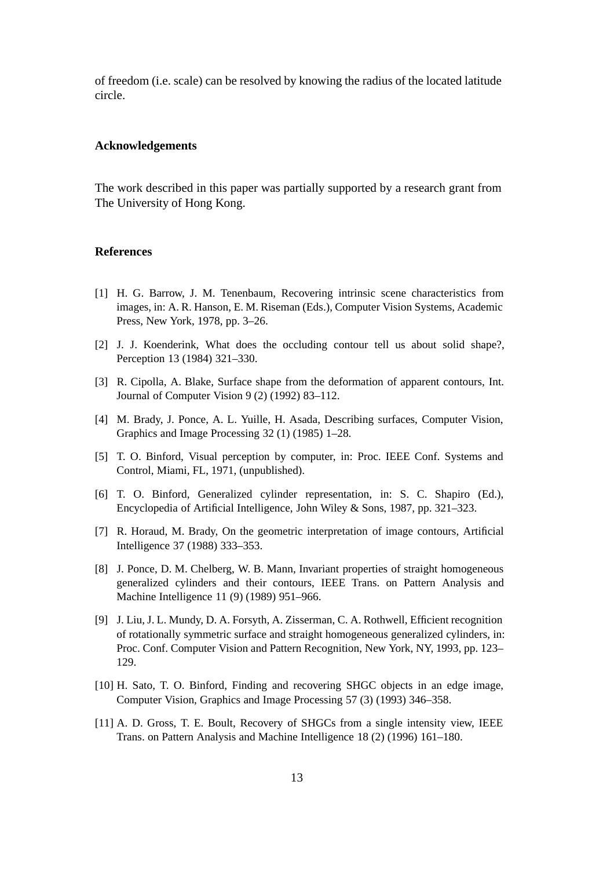of freedom (i.e. scale) can be resolved by knowing the radius of the located latitude circle.

## **Acknowledgements**

The work described in this paper was partially supported by a research grant from The University of Hong Kong.

#### **References**

- [1] H. G. Barrow, J. M. Tenenbaum, Recovering intrinsic scene characteristics from images, in: A. R. Hanson, E. M. Riseman (Eds.), Computer Vision Systems, Academic Press, New York, 1978, pp. 3–26.
- [2] J. J. Koenderink, What does the occluding contour tell us about solid shape?, Perception 13 (1984) 321–330.
- [3] R. Cipolla, A. Blake, Surface shape from the deformation of apparent contours, Int. Journal of Computer Vision 9 (2) (1992) 83–112.
- [4] M. Brady, J. Ponce, A. L. Yuille, H. Asada, Describing surfaces, Computer Vision, Graphics and Image Processing 32 (1) (1985) 1–28.
- [5] T. O. Binford, Visual perception by computer, in: Proc. IEEE Conf. Systems and Control, Miami, FL, 1971, (unpublished).
- [6] T. O. Binford, Generalized cylinder representation, in: S. C. Shapiro (Ed.), Encyclopedia of Artificial Intelligence, John Wiley & Sons, 1987, pp. 321–323.
- [7] R. Horaud, M. Brady, On the geometric interpretation of image contours, Artificial Intelligence 37 (1988) 333–353.
- [8] J. Ponce, D. M. Chelberg, W. B. Mann, Invariant properties of straight homogeneous generalized cylinders and their contours, IEEE Trans. on Pattern Analysis and Machine Intelligence 11 (9) (1989) 951–966.
- [9] J. Liu, J. L. Mundy, D. A. Forsyth, A. Zisserman, C. A. Rothwell, Efficient recognition of rotationally symmetric surface and straight homogeneous generalized cylinders, in: Proc. Conf. Computer Vision and Pattern Recognition, New York, NY, 1993, pp. 123– 129.
- [10] H. Sato, T. O. Binford, Finding and recovering SHGC objects in an edge image, Computer Vision, Graphics and Image Processing 57 (3) (1993) 346–358.
- [11] A. D. Gross, T. E. Boult, Recovery of SHGCs from a single intensity view, IEEE Trans. on Pattern Analysis and Machine Intelligence 18 (2) (1996) 161–180.